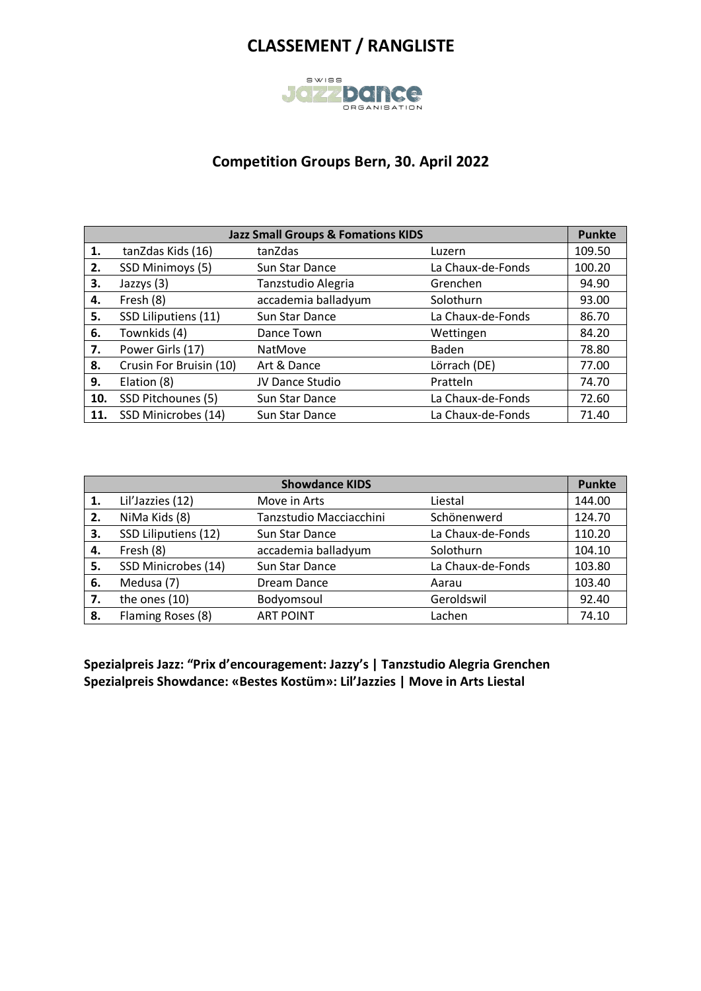

### **Competition Groups Bern, 30. April 2022**

|     | <b>Jazz Small Groups &amp; Fomations KIDS</b> |                       |                   |        |
|-----|-----------------------------------------------|-----------------------|-------------------|--------|
| 1.  | tanZdas Kids (16)                             | tanZdas               | Luzern            | 109.50 |
| 2.  | SSD Minimoys (5)                              | Sun Star Dance        | La Chaux-de-Fonds | 100.20 |
| 3.  | Jazzys (3)                                    | Tanzstudio Alegria    | Grenchen          | 94.90  |
| 4.  | Fresh (8)                                     | accademia balladyum   | Solothurn         | 93.00  |
| 5.  | SSD Liliputiens (11)                          | Sun Star Dance        | La Chaux-de-Fonds | 86.70  |
| 6.  | Townkids (4)                                  | Dance Town            | Wettingen         | 84.20  |
| 7.  | Power Girls (17)                              | <b>NatMove</b>        | <b>Baden</b>      | 78.80  |
| 8.  | Crusin For Bruisin (10)                       | Art & Dance           | Lörrach (DE)      | 77.00  |
| 9.  | Elation (8)                                   | JV Dance Studio       | Pratteln          | 74.70  |
| 10. | SSD Pitchounes (5)                            | Sun Star Dance        | La Chaux-de-Fonds | 72.60  |
| 11. | SSD Minicrobes (14)                           | <b>Sun Star Dance</b> | La Chaux-de-Fonds | 71.40  |

|    |                      | <b>Showdance KIDS</b>   |                   | <b>Punkte</b> |
|----|----------------------|-------------------------|-------------------|---------------|
| 1. | Lil'Jazzies (12)     | Move in Arts            | Liestal           | 144.00        |
| 2. | NiMa Kids (8)        | Tanzstudio Macciacchini | Schönenwerd       | 124.70        |
| 3. | SSD Liliputiens (12) | Sun Star Dance          | La Chaux-de-Fonds | 110.20        |
| 4. | Fresh (8)            | accademia balladyum     | Solothurn         | 104.10        |
| 5. | SSD Minicrobes (14)  | Sun Star Dance          | La Chaux-de-Fonds | 103.80        |
| 6. | Medusa (7)           | Dream Dance             | Aarau             | 103.40        |
| 7. | the ones (10)        | Bodyomsoul              | Geroldswil        | 92.40         |
| 8. | Flaming Roses (8)    | <b>ART POINT</b>        | Lachen            | 74.10         |

**Spezialpreis Jazz: "Prix d'encouragement: Jazzy's | Tanzstudio Alegria Grenchen Spezialpreis Showdance: «Bestes Kostüm»: Lil'Jazzies | Move in Arts Liestal**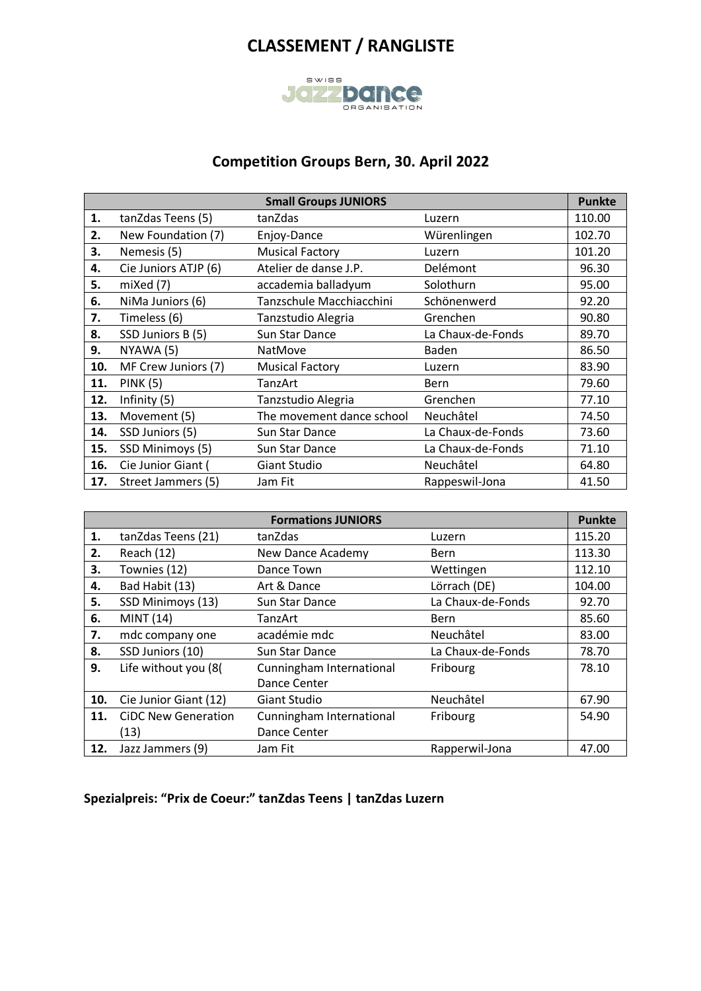

### **Competition Groups Bern, 30. April 2022**

|     | <b>Small Groups JUNIORS</b> |                           |                   |        |
|-----|-----------------------------|---------------------------|-------------------|--------|
| 1.  | tanZdas Teens (5)           | tanZdas                   | Luzern            | 110.00 |
| 2.  | New Foundation (7)          | Enjoy-Dance               | Würenlingen       | 102.70 |
| 3.  | Nemesis (5)                 | <b>Musical Factory</b>    | Luzern            | 101.20 |
| 4.  | Cie Juniors ATJP (6)        | Atelier de danse J.P.     | Delémont          | 96.30  |
| 5.  | mixed (7)                   | accademia balladyum       | Solothurn         | 95.00  |
| 6.  | NiMa Juniors (6)            | Tanzschule Macchiacchini  | Schönenwerd       | 92.20  |
| 7.  | Timeless (6)                | Tanzstudio Alegria        | Grenchen          | 90.80  |
| 8.  | SSD Juniors B (5)           | Sun Star Dance            | La Chaux-de-Fonds | 89.70  |
| 9.  | NYAWA (5)                   | NatMove                   | <b>Baden</b>      | 86.50  |
| 10. | MF Crew Juniors (7)         | <b>Musical Factory</b>    | Luzern            | 83.90  |
| 11. | <b>PINK (5)</b>             | TanzArt                   | Bern              | 79.60  |
| 12. | Infinity (5)                | Tanzstudio Alegria        | Grenchen          | 77.10  |
| 13. | Movement (5)                | The movement dance school | Neuchâtel         | 74.50  |
| 14. | SSD Juniors (5)             | Sun Star Dance            | La Chaux-de-Fonds | 73.60  |
| 15. | SSD Minimoys (5)            | Sun Star Dance            | La Chaux-de-Fonds | 71.10  |
| 16. | Cie Junior Giant (          | <b>Giant Studio</b>       | Neuchâtel         | 64.80  |
| 17. | Street Jammers (5)          | Jam Fit                   | Rappeswil-Jona    | 41.50  |

|     |                            | <b>Formations JUNIORS</b> |                   | <b>Punkte</b> |
|-----|----------------------------|---------------------------|-------------------|---------------|
| 1.  | tanZdas Teens (21)         | tanZdas                   | Luzern            | 115.20        |
| 2.  | Reach (12)                 | New Dance Academy         | <b>Bern</b>       | 113.30        |
| 3.  | Townies (12)               | Dance Town                | Wettingen         | 112.10        |
| 4.  | Bad Habit (13)             | Art & Dance               | Lörrach (DE)      | 104.00        |
| 5.  | SSD Minimoys (13)          | Sun Star Dance            | La Chaux-de-Fonds | 92.70         |
| 6.  | MINT (14)                  | TanzArt                   | <b>Bern</b>       | 85.60         |
| 7.  | mdc company one            | académie mdc              | Neuchâtel         | 83.00         |
| 8.  | SSD Juniors (10)           | Sun Star Dance            | La Chaux-de-Fonds | 78.70         |
| 9.  | Life without you (8(       | Cunningham International  | Fribourg          | 78.10         |
|     |                            | Dance Center              |                   |               |
| 10. | Cie Junior Giant (12)      | <b>Giant Studio</b>       | Neuchâtel         | 67.90         |
| 11. | <b>CiDC New Generation</b> | Cunningham International  | Fribourg          | 54.90         |
|     | (13)                       | Dance Center              |                   |               |
| 12. | Jazz Jammers (9)           | Jam Fit                   | Rapperwil-Jona    | 47.00         |

**Spezialpreis: "Prix de Coeur:" tanZdas Teens | tanZdas Luzern**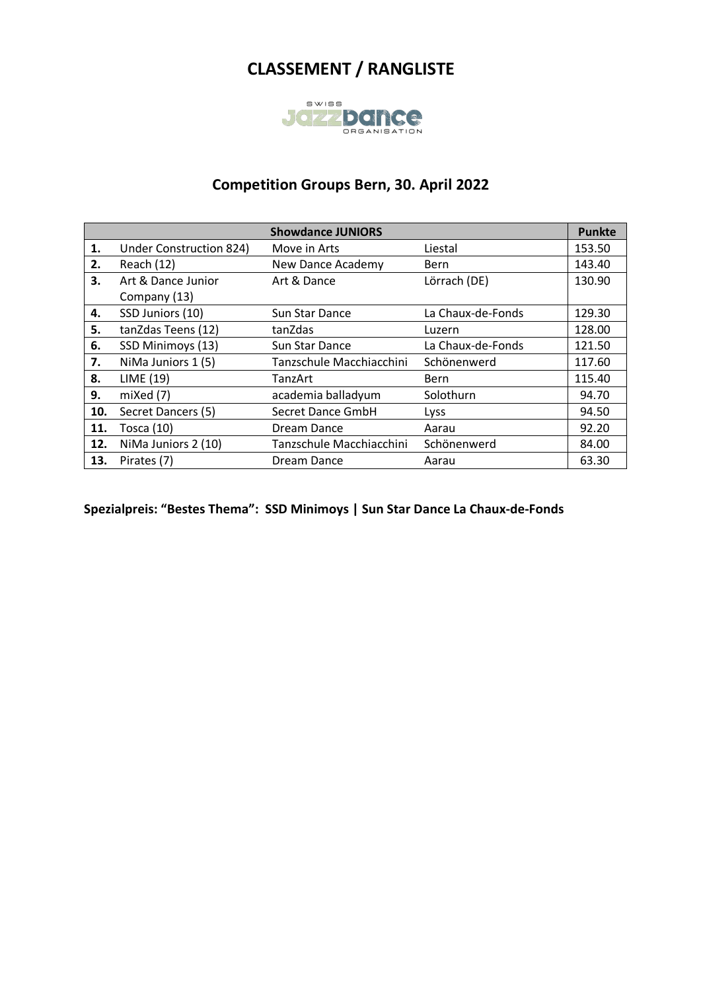

### **Competition Groups Bern, 30. April 2022**

|     |                                | <b>Showdance JUNIORS</b> |                   | <b>Punkte</b> |
|-----|--------------------------------|--------------------------|-------------------|---------------|
| 1.  | <b>Under Construction 824)</b> | Move in Arts             | Liestal           | 153.50        |
| 2.  | Reach (12)                     | <b>New Dance Academy</b> | <b>Bern</b>       | 143.40        |
| 3.  | Art & Dance Junior             | Art & Dance              | Lörrach (DE)      | 130.90        |
|     | Company (13)                   |                          |                   |               |
| 4.  | SSD Juniors (10)               | Sun Star Dance           | La Chaux-de-Fonds | 129.30        |
| 5.  | tanZdas Teens (12)             | tanZdas                  | Luzern            | 128.00        |
| 6.  | SSD Minimoys (13)              | Sun Star Dance           | La Chaux-de-Fonds | 121.50        |
| 7.  | NiMa Juniors 1 (5)             | Tanzschule Macchiacchini | Schönenwerd       | 117.60        |
| 8.  | LIME (19)                      | TanzArt                  | <b>Bern</b>       | 115.40        |
| 9.  | mixed (7)                      | academia balladyum       | Solothurn         | 94.70         |
| 10. | Secret Dancers (5)             | Secret Dance GmbH        | Lyss              | 94.50         |
| 11. | Tosca $(10)$                   | Dream Dance              | Aarau             | 92.20         |
| 12. | NiMa Juniors 2 (10)            | Tanzschule Macchiacchini | Schönenwerd       | 84.00         |
| 13. | Pirates (7)                    | Dream Dance              | Aarau             | 63.30         |

**Spezialpreis: "Bestes Thema": SSD Minimoys | Sun Star Dance La Chaux-de-Fonds**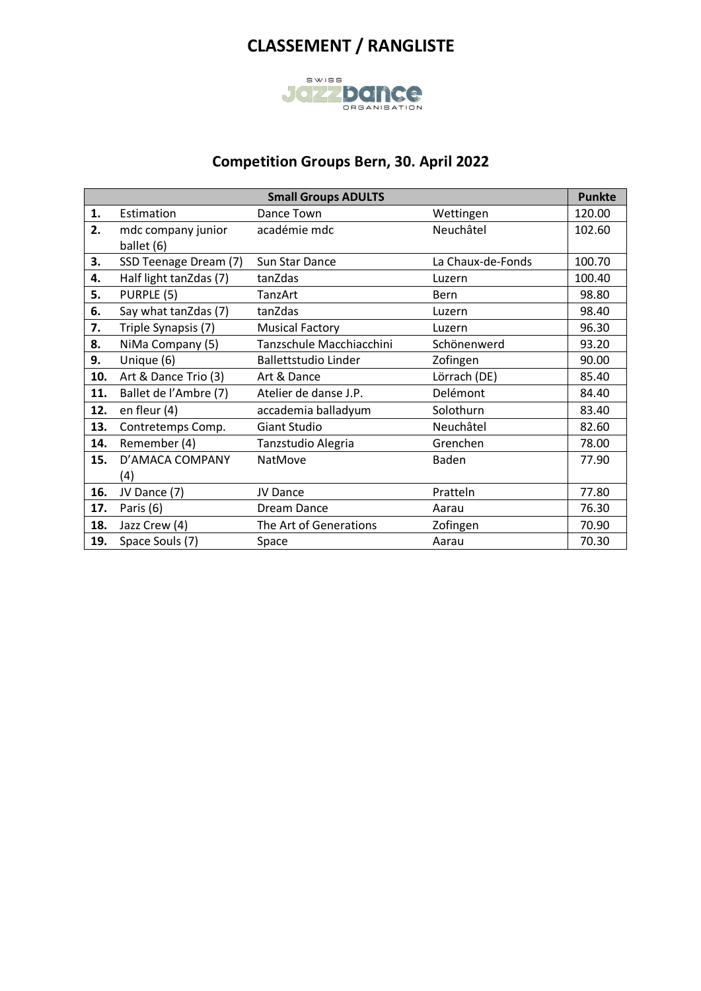

### **Competition Groups Bern, 30. April 2022**

|     |                        | <b>Small Groups ADULTS</b>  |                   | <b>Punkte</b> |
|-----|------------------------|-----------------------------|-------------------|---------------|
| 1.  | Estimation             | Dance Town                  | Wettingen         | 120.00        |
| 2.  | mdc company junior     | académie mdc                | Neuchâtel         | 102.60        |
|     | ballet (6)             |                             |                   |               |
| 3.  | SSD Teenage Dream (7)  | Sun Star Dance              | La Chaux-de-Fonds | 100.70        |
| 4.  | Half light tanZdas (7) | tanZdas                     | Luzern            | 100.40        |
| 5.  | PURPLE (5)             | TanzArt                     | <b>Bern</b>       | 98.80         |
| 6.  | Say what tanZdas (7)   | tanZdas                     | Luzern            | 98.40         |
| 7.  | Triple Synapsis (7)    | <b>Musical Factory</b>      | Luzern            | 96.30         |
| 8.  | NiMa Company (5)       | Tanzschule Macchiacchini    | Schönenwerd       | 93.20         |
| 9.  | Unique (6)             | <b>Ballettstudio Linder</b> | Zofingen          | 90.00         |
| 10. | Art & Dance Trio (3)   | Art & Dance                 | Lörrach (DE)      | 85.40         |
| 11. | Ballet de l'Ambre (7)  | Atelier de danse J.P.       | Delémont          | 84.40         |
| 12. | en fleur (4)           | accademia balladyum         | Solothurn         | 83.40         |
| 13. | Contretemps Comp.      | <b>Giant Studio</b>         | Neuchâtel         | 82.60         |
| 14. | Remember (4)           | Tanzstudio Alegria          | Grenchen          | 78.00         |
| 15. | D'AMACA COMPANY        | NatMove                     | Baden             | 77.90         |
|     | (4)                    |                             |                   |               |
| 16. | JV Dance (7)           | JV Dance                    | Pratteln          | 77.80         |
| 17. | Paris (6)              | Dream Dance                 | Aarau             | 76.30         |
| 18. | Jazz Crew (4)          | The Art of Generations      | Zofingen          | 70.90         |
| 19. | Space Souls (7)        | Space                       | Aarau             | 70.30         |